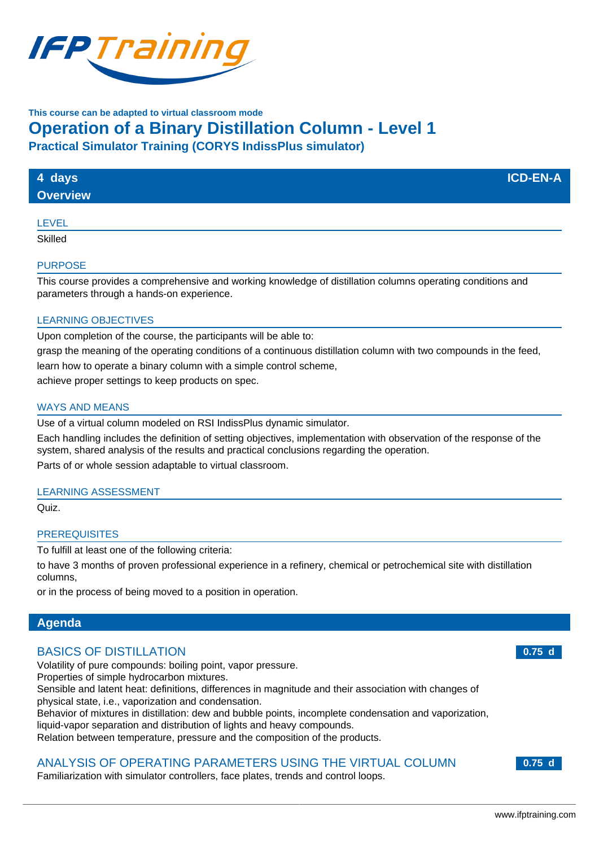

## **This course can be adapted to virtual classroom mode**

# **Operation of a Binary Distillation Column - Level 1**

**Practical Simulator Training (CORYS IndissPlus simulator)**

| 4 days<br><b>Overview</b> | <b>ICD-EN-A</b> |
|---------------------------|-----------------|
| LEVEL                     |                 |

**Skilled** 

#### PURPOSE

This course provides a comprehensive and working knowledge of distillation columns operating conditions and parameters through a hands-on experience.

#### LEARNING OBJECTIVES

Upon completion of the course, the participants will be able to:

grasp the meaning of the operating conditions of a continuous distillation column with two compounds in the feed,

learn how to operate a binary column with a simple control scheme,

achieve proper settings to keep products on spec.

#### WAYS AND MEANS

Use of a virtual column modeled on RSI IndissPlus dynamic simulator.

Each handling includes the definition of setting objectives, implementation with observation of the response of the system, shared analysis of the results and practical conclusions regarding the operation. Parts of or whole session adaptable to virtual classroom.

#### LEARNING ASSESSMENT

Quiz.

#### **PREREQUISITES**

To fulfill at least one of the following criteria:

to have 3 months of proven professional experience in a refinery, chemical or petrochemical site with distillation columns,

or in the process of being moved to a position in operation.

### **Agenda**

## BASICS OF DISTILLATION

Volatility of pure compounds: boiling point, vapor pressure.

Properties of simple hydrocarbon mixtures.

Sensible and latent heat: definitions, differences in magnitude and their association with changes of physical state, i.e., vaporization and condensation.

Behavior of mixtures in distillation: dew and bubble points, incomplete condensation and vaporization,

liquid-vapor separation and distribution of lights and heavy compounds.

Relation between temperature, pressure and the composition of the products.

## ANALYSIS OF OPERATING PARAMETERS USING THE VIRTUAL COLUMN

Familiarization with simulator controllers, face plates, trends and control loops.

**0.75 d**